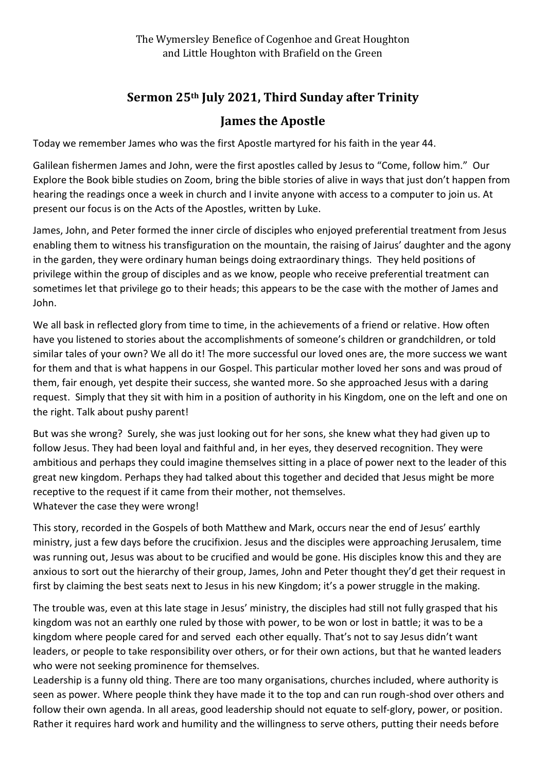## **Sermon 25th July 2021, Third Sunday after Trinity James the Apostle**

Today we remember James who was the first Apostle martyred for his faith in the year 44.

Galilean fishermen James and John, were the first apostles called by Jesus to "Come, follow him." Our Explore the Book bible studies on Zoom, bring the bible stories of alive in ways that just don't happen from hearing the readings once a week in church and I invite anyone with access to a computer to join us. At present our focus is on the Acts of the Apostles, written by Luke.

James, John, and Peter formed the inner circle of disciples who enjoyed preferential treatment from Jesus enabling them to witness his transfiguration on the mountain, the raising of Jairus' daughter and the agony in the garden, they were ordinary human beings doing extraordinary things. They held positions of privilege within the group of disciples and as we know, people who receive preferential treatment can sometimes let that privilege go to their heads; this appears to be the case with the mother of James and John.

We all bask in reflected glory from time to time, in the achievements of a friend or relative. How often have you listened to stories about the accomplishments of someone's children or grandchildren, or told similar tales of your own? We all do it! The more successful our loved ones are, the more success we want for them and that is what happens in our Gospel. This particular mother loved her sons and was proud of them, fair enough, yet despite their success, she wanted more. So she approached Jesus with a daring request. Simply that they sit with him in a position of authority in his Kingdom, one on the left and one on the right. Talk about pushy parent!

But was she wrong? Surely, she was just looking out for her sons, she knew what they had given up to follow Jesus. They had been loyal and faithful and, in her eyes, they deserved recognition. They were ambitious and perhaps they could imagine themselves sitting in a place of power next to the leader of this great new kingdom. Perhaps they had talked about this together and decided that Jesus might be more receptive to the request if it came from their mother, not themselves. Whatever the case they were wrong!

This story, recorded in the Gospels of both Matthew and Mark, occurs near the end of Jesus' earthly ministry, just a few days before the crucifixion. Jesus and the disciples were approaching Jerusalem, time was running out, Jesus was about to be crucified and would be gone. His disciples know this and they are anxious to sort out the hierarchy of their group, James, John and Peter thought they'd get their request in first by claiming the best seats next to Jesus in his new Kingdom; it's a power struggle in the making.

The trouble was, even at this late stage in Jesus' ministry, the disciples had still not fully grasped that his kingdom was not an earthly one ruled by those with power, to be won or lost in battle; it was to be a kingdom where people cared for and served each other equally. That's not to say Jesus didn't want leaders, or people to take responsibility over others, or for their own actions, but that he wanted leaders who were not seeking prominence for themselves.

Leadership is a funny old thing. There are too many organisations, churches included, where authority is seen as power. Where people think they have made it to the top and can run rough-shod over others and follow their own agenda. In all areas, good leadership should not equate to self-glory, power, or position. Rather it requires hard work and humility and the willingness to serve others, putting their needs before